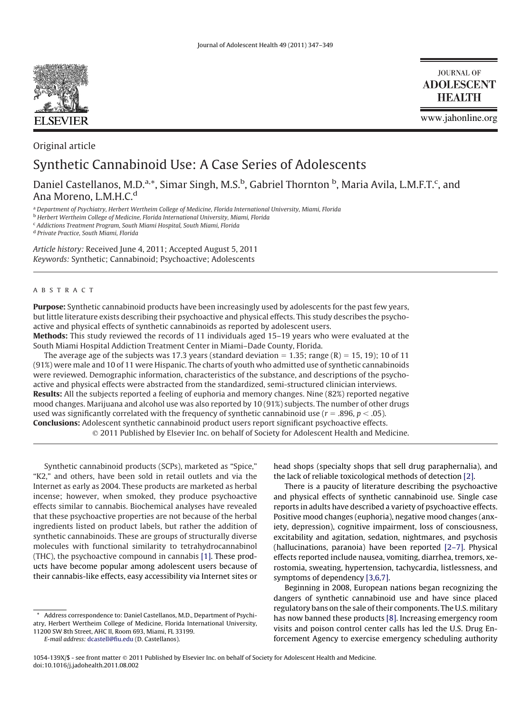

**JOURNAL OF ADOLESCENT HEALTH** 

www.jahonline.org

# Original article

# Synthetic Cannabinoid Use: A Case Series of Adolescents

Daniel Castellanos, M.D.<sup>a,\*</sup>, Simar Singh, M.S.<sup>b</sup>, Gabriel Thornton <sup>b</sup>, Maria Avila, L.M.F.T.<sup>c</sup>, and Ana Moreno, L.M.H.C.<sup>d</sup>

<sup>a</sup> *Department of Psychiatry, Herbert Wertheim College of Medicine, Florida International University, Miami, Florida*

<sup>b</sup> *Herbert Wertheim College of Medicine, Florida International University, Miami, Florida*

<sup>c</sup> *Addictions Treatment Program, South Miami Hospital, South Miami, Florida*

<sup>d</sup> *Private Practice, South Miami, Florida*

*Article history:* Received June 4, 2011; Accepted August 5, 2011 *Keywords:* Synthetic; Cannabinoid; Psychoactive; Adolescents

# ABSTRACT

**Purpose:** Synthetic cannabinoid products have been increasingly used by adolescents for the past few years, but little literature exists describing their psychoactive and physical effects. This study describes the psychoactive and physical effects of synthetic cannabinoids as reported by adolescent users. **Methods:** This study reviewed the records of 11 individuals aged 15–19 years who were evaluated at the

South Miami Hospital Addiction Treatment Center in Miami–Dade County, Florida.

The average age of the subjects was 17.3 years (standard deviation  $= 1.35$ ; range (R)  $= 15, 19$ ); 10 of 11 (91%) were male and 10 of 11 were Hispanic. The charts of youth who admitted use of synthetic cannabinoids were reviewed. Demographic information, characteristics of the substance, and descriptions of the psychoactive and physical effects were abstracted from the standardized, semi-structured clinician interviews. **Results:** All the subjects reported a feeling of euphoria and memory changes. Nine (82%) reported negative mood changes. Marijuana and alcohol use was also reported by 10 (91%) subjects. The number of other drugs used was significantly correlated with the frequency of synthetic cannabinoid use ( $r = .896$ ,  $p < .05$ ). **Conclusions:** Adolescent synthetic cannabinoid product users report significant psychoactive effects. 2011 Published by Elsevier Inc. on behalf of Society for Adolescent Health and Medicine.

Synthetic cannabinoid products (SCPs), marketed as "Spice," "K2," and others, have been sold in retail outlets and via the Internet as early as 2004. These products are marketed as herbal incense; however, when smoked, they produce psychoactive effects similar to cannabis. Biochemical analyses have revealed that these psychoactive properties are not because of the herbal ingredients listed on product labels, but rather the addition of synthetic cannabinoids. These are groups of structurally diverse molecules with functional similarity to tetrahydrocannabinol (THC), the psychoactive compound in cannabis [\[1\].](#page-2-0) These products have become popular among adolescent users because of their cannabis-like effects, easy accessibility via Internet sites or

Address correspondence to: Daniel Castellanos, M.D., Department of Psychiatry, Herbert Wertheim College of Medicine, Florida International University, 11200 SW 8th Street, AHC II, Room 693, Miami, FL 33199.

*E-mail address:* [dcastell@fiu.edu](mailto:dcastell@fiu.edu) (D. Castellanos).

head shops (specialty shops that sell drug paraphernalia), and the lack of reliable toxicological methods of detection [\[2\].](#page-2-1)

There is a paucity of literature describing the psychoactive and physical effects of synthetic cannabinoid use. Single case reports in adults have described a variety of psychoactive effects. Positive mood changes (euphoria), negative mood changes (anxiety, depression), cognitive impairment, loss of consciousness, excitability and agitation, sedation, nightmares, and psychosis (hallucinations, paranoia) have been reported [\[2–7\].](#page-2-1) Physical effects reported include nausea, vomiting, diarrhea, tremors, xerostomia, sweating, hypertension, tachycardia, listlessness, and symptoms of dependency [\[3,6,7\].](#page-2-2)

Beginning in 2008, European nations began recognizing the dangers of synthetic cannabinoid use and have since placed regulatory bans on the sale of their components. The U.S. military has now banned these products [\[8\].](#page-2-3) Increasing emergency room visits and poison control center calls has led the U.S. Drug Enforcement Agency to exercise emergency scheduling authority

<sup>1054-139</sup>X/\$ - see front matter 2011 Published by Elsevier Inc. on behalf of Society for Adolescent Health and Medicine. doi:10.1016/j.jadohealth.2011.08.002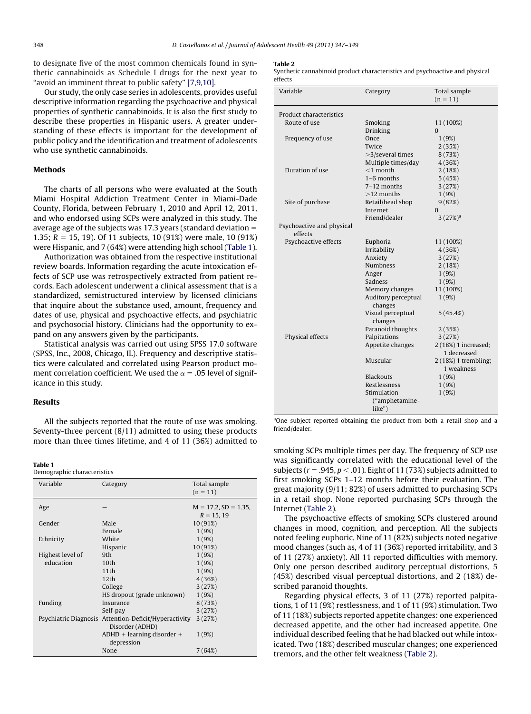to designate five of the most common chemicals found in synthetic cannabinoids as Schedule I drugs for the next year to "avoid an imminent threat to public safety" [\[7,9,10\].](#page-2-4)

Our study, the only case series in adolescents, provides useful descriptive information regarding the psychoactive and physical properties of synthetic cannabinoids. It is also the first study to describe these properties in Hispanic users. A greater understanding of these effects is important for the development of public policy and the identification and treatment of adolescents who use synthetic cannabinoids.

# **Methods**

The charts of all persons who were evaluated at the South Miami Hospital Addiction Treatment Center in Miami-Dade County, Florida, between February 1, 2010 and April 12, 2011, and who endorsed using SCPs were analyzed in this study. The average age of the subjects was 17.3 years (standard deviation 1.35;  $R = 15$ , 19). Of 11 subjects, 10 (91%) were male, 10 (91%) were Hispanic, and 7 (64%) were attending high school [\(Table 1\)](#page-1-0).

Authorization was obtained from the respective institutional review boards. Information regarding the acute intoxication effects of SCP use was retrospectively extracted from patient records. Each adolescent underwent a clinical assessment that is a standardized, semistructured interview by licensed clinicians that inquire about the substance used, amount, frequency and dates of use, physical and psychoactive effects, and psychiatric and psychosocial history. Clinicians had the opportunity to expand on any answers given by the participants.

Statistical analysis was carried out using SPSS 17.0 software (SPSS, Inc., 2008, Chicago, IL). Frequency and descriptive statistics were calculated and correlated using Pearson product moment correlation coefficient. We used the  $\alpha = 0.05$  level of significance in this study.

## **Results**

All the subjects reported that the route of use was smoking. Seventy-three percent (8/11) admitted to using these products more than three times lifetime, and 4 of 11 (36%) admitted to

#### <span id="page-1-0"></span>**Table 1**

Demographic characteristics

| Variable         | Category                                                                 | Total sample<br>$(n = 11)$                |
|------------------|--------------------------------------------------------------------------|-------------------------------------------|
| Age              |                                                                          | $M = 17.2$ , $SD = 1.35$ ,<br>$R = 15.19$ |
| Gender           | Male                                                                     | 10 (91%)                                  |
|                  | Female                                                                   | 1(9%)                                     |
| Ethnicity        | White                                                                    | 1(9%)                                     |
|                  | Hispanic                                                                 | 10 (91%)                                  |
| Highest level of | 9th                                                                      | 1(9%)                                     |
| education        | 10 <sub>th</sub>                                                         | 1(9%)                                     |
|                  | 11th                                                                     | 1(9%)                                     |
|                  | 12 <sub>th</sub>                                                         | 4 (36%)                                   |
|                  | College                                                                  | 3(27%)                                    |
|                  | HS dropout (grade unknown)                                               | 1(9%)                                     |
| Funding          | Insurance                                                                | 8(73%)                                    |
|                  | Self-pay                                                                 | 3(27%)                                    |
|                  | Psychiatric Diagnosis Attention-Deficit/Hyperactivity<br>Disorder (ADHD) | 3(27%)                                    |
|                  | $ADHD + learning disorder +$<br>depression                               | 1(9%)                                     |
|                  | None                                                                     | 7(64%)                                    |

#### <span id="page-1-1"></span>**Table 2**

Synthetic cannabinoid product characteristics and psychoactive and physical effects

| Variable                             | Category                       | Total sample<br>$(n = 11)$ |
|--------------------------------------|--------------------------------|----------------------------|
| Product characteristics              |                                |                            |
| Route of use                         | Smoking                        | 11 (100%)                  |
|                                      | Drinking                       | $\Omega$                   |
| Frequency of use                     | Once                           | 1(9%)                      |
|                                      | Twice                          | 2(35%)                     |
|                                      | $>3$ /several times            | 8(73%)                     |
|                                      | Multiple times/day             | 4(36%)                     |
| Duration of use                      | $<$ 1 month                    | 2(18%)                     |
|                                      | $1-6$ months                   | 5(45%)                     |
|                                      | 7–12 months                    | 3(27%)                     |
|                                      | $>12$ months                   | 1(9%)                      |
| Site of purchase                     | Retail/head shop               | 9(82%)                     |
|                                      | Internet                       | $\Omega$                   |
|                                      | Friend/dealer                  | 3(27%) <sup>a</sup>        |
| Psychoactive and physical<br>effects |                                |                            |
| Psychoactive effects                 | Euphoria                       | 11 (100%)                  |
|                                      | Irritability                   | 4(36%)                     |
|                                      | Anxiety                        | 3(27%)                     |
|                                      | <b>Numbness</b>                | 2(18%)                     |
|                                      | Anger                          | 1(9%)                      |
|                                      | Sadness                        | 1(9%)                      |
|                                      | Memory changes                 | 11 (100%)                  |
|                                      | Auditory perceptual<br>changes | 1(9%)                      |
|                                      | Visual perceptual<br>changes   | 5(45.4%)                   |
|                                      | Paranoid thoughts              | 2(35%)                     |
| Physical effects                     | Palpitations                   | 3(27%)                     |
|                                      | Appetite changes               | 2 (18%) 1 increased;       |
|                                      |                                | 1 decreased                |
|                                      | Muscular                       | 2 (18%) 1 trembling;       |
|                                      |                                | 1 weakness                 |
|                                      | <b>Blackouts</b>               | 1(9%)                      |
|                                      | Restlessness                   | 1(9%)                      |
|                                      | Stimulation                    | 1(9%)                      |
|                                      | ("amphetamine-<br>$like$ ")    |                            |

<sup>a</sup>One subject reported obtaining the product from both a retail shop and a friend/dealer.

smoking SCPs multiple times per day. The frequency of SCP use was significantly correlated with the educational level of the subjects ( $r = .945, p < .01$  ). Eight of 11 (73%) subjects admitted to first smoking SCPs 1–12 months before their evaluation. The great majority (9/11; 82%) of users admitted to purchasing SCPs in a retail shop. None reported purchasing SCPs through the Internet [\(Table 2\)](#page-1-1).

The psychoactive effects of smoking SCPs clustered around changes in mood, cognition, and perception. All the subjects noted feeling euphoric. Nine of 11 (82%) subjects noted negative mood changes (such as, 4 of 11 (36%) reported irritability, and 3 of 11 (27%) anxiety). All 11 reported difficulties with memory. Only one person described auditory perceptual distortions, 5 (45%) described visual perceptual distortions, and 2 (18%) described paranoid thoughts.

Regarding physical effects, 3 of 11 (27%) reported palpitations, 1 of 11 (9%) restlessness, and 1 of 11 (9%) stimulation. Two of 11 (18%) subjects reported appetite changes: one experienced decreased appetite, and the other had increased appetite. One individual described feeling that he had blacked out while intoxicated. Two (18%) described muscular changes; one experienced tremors, and the other felt weakness [\(Table 2\)](#page-1-1).